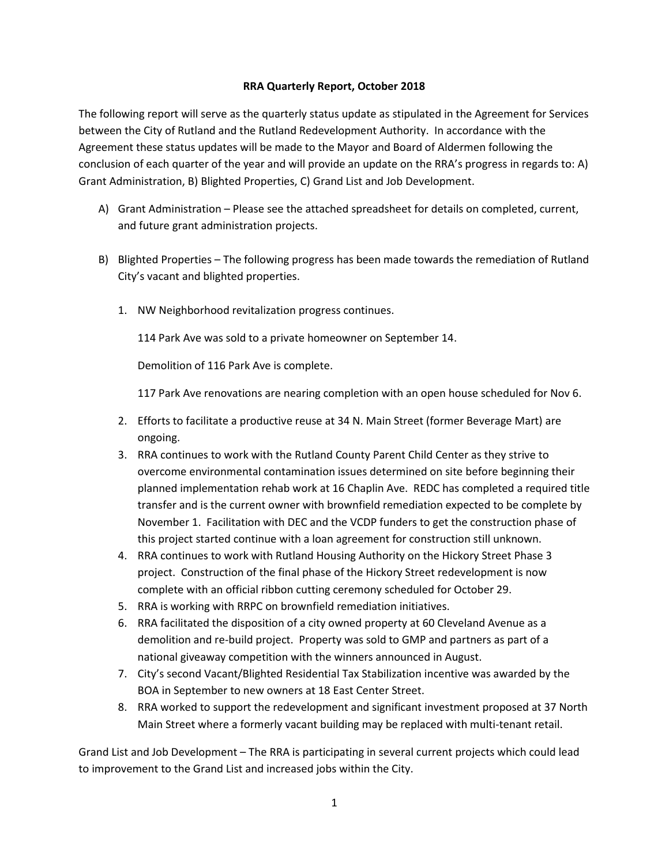## **RRA Quarterly Report, October 2018**

The following report will serve as the quarterly status update as stipulated in the Agreement for Services between the City of Rutland and the Rutland Redevelopment Authority. In accordance with the Agreement these status updates will be made to the Mayor and Board of Aldermen following the conclusion of each quarter of the year and will provide an update on the RRA's progress in regards to: A) Grant Administration, B) Blighted Properties, C) Grand List and Job Development.

- A) Grant Administration Please see the attached spreadsheet for details on completed, current, and future grant administration projects.
- B) Blighted Properties The following progress has been made towards the remediation of Rutland City's vacant and blighted properties.
	- 1. NW Neighborhood revitalization progress continues.

114 Park Ave was sold to a private homeowner on September 14.

Demolition of 116 Park Ave is complete.

117 Park Ave renovations are nearing completion with an open house scheduled for Nov 6.

- 2. Efforts to facilitate a productive reuse at 34 N. Main Street (former Beverage Mart) are ongoing.
- 3. RRA continues to work with the Rutland County Parent Child Center as they strive to overcome environmental contamination issues determined on site before beginning their planned implementation rehab work at 16 Chaplin Ave. REDC has completed a required title transfer and is the current owner with brownfield remediation expected to be complete by November 1. Facilitation with DEC and the VCDP funders to get the construction phase of this project started continue with a loan agreement for construction still unknown.
- 4. RRA continues to work with Rutland Housing Authority on the Hickory Street Phase 3 project. Construction of the final phase of the Hickory Street redevelopment is now complete with an official ribbon cutting ceremony scheduled for October 29.
- 5. RRA is working with RRPC on brownfield remediation initiatives.
- 6. RRA facilitated the disposition of a city owned property at 60 Cleveland Avenue as a demolition and re-build project. Property was sold to GMP and partners as part of a national giveaway competition with the winners announced in August.
- 7. City's second Vacant/Blighted Residential Tax Stabilization incentive was awarded by the BOA in September to new owners at 18 East Center Street.
- 8. RRA worked to support the redevelopment and significant investment proposed at 37 North Main Street where a formerly vacant building may be replaced with multi-tenant retail.

Grand List and Job Development – The RRA is participating in several current projects which could lead to improvement to the Grand List and increased jobs within the City.